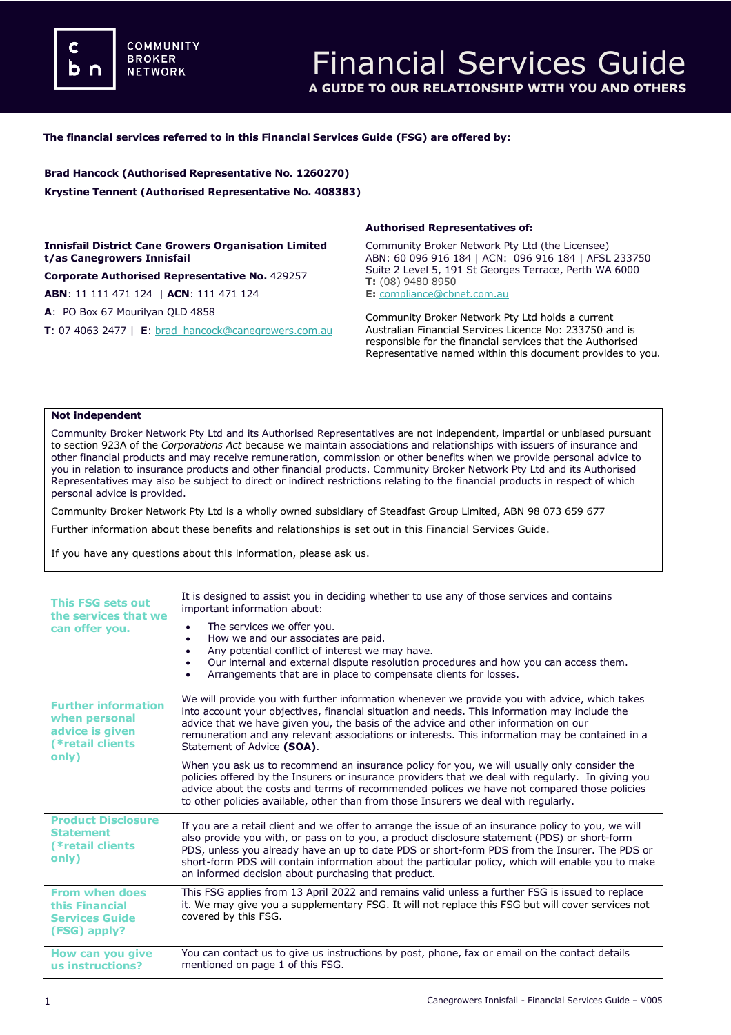**COMMUNITY BROKER NETWORK** 

## **The financial services referred to in this Financial Services Guide (FSG) are offered by:**

**Brad Hancock (Authorised Representative No. 1260270) Krystine Tennent (Authorised Representative No. 408383)**

**Innisfail District Cane Growers Organisation Limited t/as Canegrowers Innisfail**

**Corporate Authorised Representative No.** 429257

**ABN**: 11 111 471 124 | **ACN**: 111 471 124

**A**: PO Box 67 Mourilyan QLD 4858

**T**: 07 4063 2477 | **E**: [brad\\_hancock@canegrowers.com.au](mailto:brad_hancock@canegrowers.com.au)

### **Authorised Representatives of:**

Community Broker Network Pty Ltd (the Licensee) ABN: 60 096 916 184 | ACN: 096 916 184 | AFSL 233750 Suite 2 Level 5, 191 St Georges Terrace, Perth WA 6000 **T:** (08) 9480 8950

**E:** [compliance@cbnet.com.au](mailto:queries@naswg.com.au) 

Community Broker Network Pty Ltd holds a current Australian Financial Services Licence No: 233750 and is responsible for the financial services that the Authorised Representative named within this document provides to you.

#### **Not independent**

Community Broker Network Pty Ltd and its Authorised Representatives are not independent, impartial or unbiased pursuant to section 923A of the *Corporations Act* because we maintain associations and relationships with issuers of insurance and other financial products and may receive remuneration, commission or other benefits when we provide personal advice to you in relation to insurance products and other financial products. Community Broker Network Pty Ltd and its Authorised Representatives may also be subject to direct or indirect restrictions relating to the financial products in respect of which personal advice is provided.

Community Broker Network Pty Ltd is a wholly owned subsidiary of Steadfast Group Limited, ABN 98 073 659 677

Further information about these benefits and relationships is set out in this Financial Services Guide.

If you have any questions about this information, please ask us.

| This FSG sets out<br>the services that we<br>can offer you.                                 | It is designed to assist you in deciding whether to use any of those services and contains<br>important information about:<br>The services we offer you.<br>How we and our associates are paid.<br>$\bullet$<br>Any potential conflict of interest we may have.<br>٠<br>Our internal and external dispute resolution procedures and how you can access them.<br>$\bullet$<br>Arrangements that are in place to compensate clients for losses.<br>٠                |
|---------------------------------------------------------------------------------------------|-------------------------------------------------------------------------------------------------------------------------------------------------------------------------------------------------------------------------------------------------------------------------------------------------------------------------------------------------------------------------------------------------------------------------------------------------------------------|
| <b>Further information</b><br>when personal<br>advice is given<br>(*retail clients<br>only) | We will provide you with further information whenever we provide you with advice, which takes<br>into account your objectives, financial situation and needs. This information may include the<br>advice that we have given you, the basis of the advice and other information on our<br>remuneration and any relevant associations or interests. This information may be contained in a<br>Statement of Advice (SOA).                                            |
|                                                                                             | When you ask us to recommend an insurance policy for you, we will usually only consider the<br>policies offered by the Insurers or insurance providers that we deal with regularly. In giving you<br>advice about the costs and terms of recommended polices we have not compared those policies<br>to other policies available, other than from those Insurers we deal with regularly.                                                                           |
| <b>Product Disclosure</b><br><b>Statement</b><br>(*retail clients)<br>only)                 | If you are a retail client and we offer to arrange the issue of an insurance policy to you, we will<br>also provide you with, or pass on to you, a product disclosure statement (PDS) or short-form<br>PDS, unless you already have an up to date PDS or short-form PDS from the Insurer. The PDS or<br>short-form PDS will contain information about the particular policy, which will enable you to make<br>an informed decision about purchasing that product. |
| <b>From when does</b><br>this Financial<br><b>Services Guide</b><br>(FSG) apply?            | This FSG applies from 13 April 2022 and remains valid unless a further FSG is issued to replace<br>it. We may give you a supplementary FSG. It will not replace this FSG but will cover services not<br>covered by this FSG.                                                                                                                                                                                                                                      |
| How can you give<br>us instructions?                                                        | You can contact us to give us instructions by post, phone, fax or email on the contact details<br>mentioned on page 1 of this FSG.                                                                                                                                                                                                                                                                                                                                |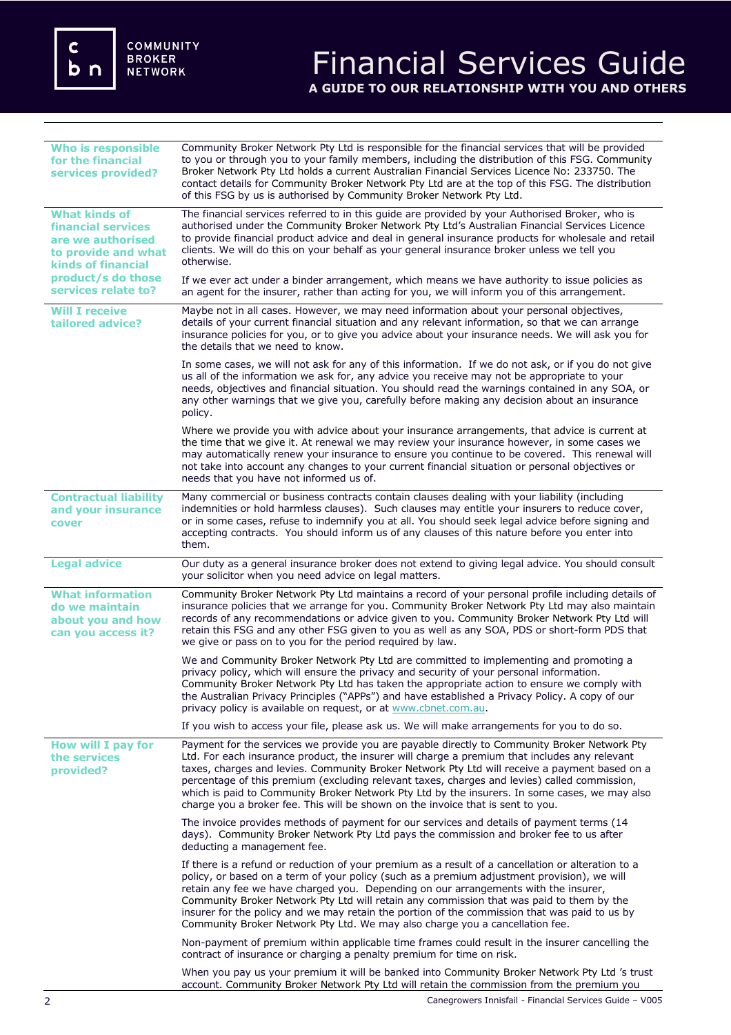c<br>b n

# Financial Services Guide **A GUIDE TO OUR RELATIONSHIP WITH YOU AND OTHERS**

| <b>Who is responsible</b><br>for the financial<br>services provided?                                                                                             | Community Broker Network Pty Ltd is responsible for the financial services that will be provided<br>to you or through you to your family members, including the distribution of this FSG. Community<br>Broker Network Pty Ltd holds a current Australian Financial Services Licence No: 233750. The<br>contact details for Community Broker Network Pty Ltd are at the top of this FSG. The distribution<br>of this FSG by us is authorised by Community Broker Network Pty Ltd.                                                                                                   |
|------------------------------------------------------------------------------------------------------------------------------------------------------------------|------------------------------------------------------------------------------------------------------------------------------------------------------------------------------------------------------------------------------------------------------------------------------------------------------------------------------------------------------------------------------------------------------------------------------------------------------------------------------------------------------------------------------------------------------------------------------------|
| <b>What kinds of</b><br>financial services<br>are we authorised<br>to provide and what<br><b>kinds of financial</b><br>product/s do those<br>services relate to? | The financial services referred to in this quide are provided by your Authorised Broker, who is<br>authorised under the Community Broker Network Pty Ltd's Australian Financial Services Licence<br>to provide financial product advice and deal in general insurance products for wholesale and retail<br>clients. We will do this on your behalf as your general insurance broker unless we tell you<br>otherwise.                                                                                                                                                               |
|                                                                                                                                                                  | If we ever act under a binder arrangement, which means we have authority to issue policies as<br>an agent for the insurer, rather than acting for you, we will inform you of this arrangement.                                                                                                                                                                                                                                                                                                                                                                                     |
| <b>Will I receive</b><br>tailored advice?                                                                                                                        | Maybe not in all cases. However, we may need information about your personal objectives,<br>details of your current financial situation and any relevant information, so that we can arrange<br>insurance policies for you, or to give you advice about your insurance needs. We will ask you for<br>the details that we need to know.                                                                                                                                                                                                                                             |
|                                                                                                                                                                  | In some cases, we will not ask for any of this information. If we do not ask, or if you do not give<br>us all of the information we ask for, any advice you receive may not be appropriate to your<br>needs, objectives and financial situation. You should read the warnings contained in any SOA, or<br>any other warnings that we give you, carefully before making any decision about an insurance<br>policy.                                                                                                                                                                  |
|                                                                                                                                                                  | Where we provide you with advice about your insurance arrangements, that advice is current at<br>the time that we give it. At renewal we may review your insurance however, in some cases we<br>may automatically renew your insurance to ensure you continue to be covered. This renewal will<br>not take into account any changes to your current financial situation or personal objectives or<br>needs that you have not informed us of.                                                                                                                                       |
| <b>Contractual liability</b><br>and your insurance<br>cover                                                                                                      | Many commercial or business contracts contain clauses dealing with your liability (including<br>indemnities or hold harmless clauses). Such clauses may entitle your insurers to reduce cover,<br>or in some cases, refuse to indemnify you at all. You should seek legal advice before signing and<br>accepting contracts. You should inform us of any clauses of this nature before you enter into<br>them.                                                                                                                                                                      |
| <b>Legal advice</b>                                                                                                                                              | Our duty as a general insurance broker does not extend to giving legal advice. You should consult<br>your solicitor when you need advice on legal matters.                                                                                                                                                                                                                                                                                                                                                                                                                         |
| <b>What information</b><br>do we maintain<br>about you and how<br>can you access it?                                                                             | Community Broker Network Pty Ltd maintains a record of your personal profile including details of<br>insurance policies that we arrange for you. Community Broker Network Pty Ltd may also maintain<br>records of any recommendations or advice given to you. Community Broker Network Pty Ltd will<br>retain this FSG and any other FSG given to you as well as any SOA, PDS or short-form PDS that<br>we give or pass on to you for the period required by law.                                                                                                                  |
|                                                                                                                                                                  | We and Community Broker Network Pty Ltd are committed to implementing and promoting a<br>privacy policy, which will ensure the privacy and security of your personal information.<br>Community Broker Network Pty Ltd has taken the appropriate action to ensure we comply with<br>the Australian Privacy Principles ("APPs") and have established a Privacy Policy. A copy of our<br>privacy policy is available on request, or at www.cbnet.com.au.                                                                                                                              |
|                                                                                                                                                                  | If you wish to access your file, please ask us. We will make arrangements for you to do so.                                                                                                                                                                                                                                                                                                                                                                                                                                                                                        |
| How will I pay for<br>the services<br>provided?                                                                                                                  | Payment for the services we provide you are payable directly to Community Broker Network Pty<br>Ltd. For each insurance product, the insurer will charge a premium that includes any relevant<br>taxes, charges and levies. Community Broker Network Pty Ltd will receive a payment based on a<br>percentage of this premium (excluding relevant taxes, charges and levies) called commission,<br>which is paid to Community Broker Network Pty Ltd by the insurers. In some cases, we may also<br>charge you a broker fee. This will be shown on the invoice that is sent to you. |
|                                                                                                                                                                  | The invoice provides methods of payment for our services and details of payment terms (14<br>days). Community Broker Network Pty Ltd pays the commission and broker fee to us after<br>deducting a management fee.                                                                                                                                                                                                                                                                                                                                                                 |
|                                                                                                                                                                  | If there is a refund or reduction of your premium as a result of a cancellation or alteration to a<br>policy, or based on a term of your policy (such as a premium adjustment provision), we will<br>retain any fee we have charged you. Depending on our arrangements with the insurer,<br>Community Broker Network Pty Ltd will retain any commission that was paid to them by the<br>insurer for the policy and we may retain the portion of the commission that was paid to us by<br>Community Broker Network Pty Ltd. We may also charge you a cancellation fee.              |
|                                                                                                                                                                  | Non-payment of premium within applicable time frames could result in the insurer cancelling the<br>contract of insurance or charging a penalty premium for time on risk.                                                                                                                                                                                                                                                                                                                                                                                                           |
|                                                                                                                                                                  | When you pay us your premium it will be banked into Community Broker Network Pty Ltd 's trust<br>account. Community Broker Network Pty Ltd will retain the commission from the premium you                                                                                                                                                                                                                                                                                                                                                                                         |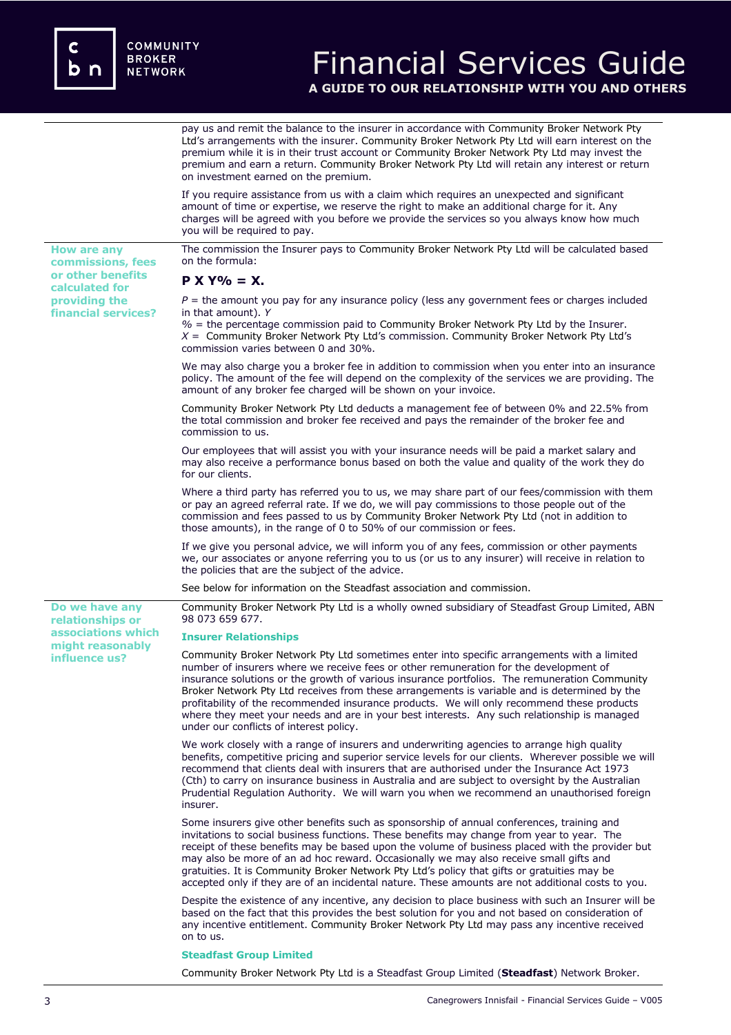**or other benefits calculated for providing the financial services?**

**Do we have any relationships or associations which might reasonably influence us?** 

## Financial Services Guide **A GUIDE TO OUR RELATIONSHIP WITH YOU AND OTHERS**

pay us and remit the balance to the insurer in accordance with Community Broker Network Pty Ltd's arrangements with the insurer. Community Broker Network Pty Ltd will earn interest on the premium while it is in their trust account or Community Broker Network Pty Ltd may invest the premium and earn a return. Community Broker Network Pty Ltd will retain any interest or return on investment earned on the premium.

If you require assistance from us with a claim which requires an unexpected and significant amount of time or expertise, we reserve the right to make an additional charge for it. Any charges will be agreed with you before we provide the services so you always know how much you will be required to pay.

**How are any commissions, fees**  The commission the Insurer pays to Community Broker Network Pty Ltd will be calculated based on the formula:

## **P X Y% = X.**

 $P =$  the amount you pay for any insurance policy (less any government fees or charges included in that amount). *Y*

*%* = the percentage commission paid to Community Broker Network Pty Ltd by the Insurer. *X* = Community Broker Network Pty Ltd's commission. Community Broker Network Pty Ltd's commission varies between 0 and 30%.

We may also charge you a broker fee in addition to commission when you enter into an insurance policy. The amount of the fee will depend on the complexity of the services we are providing. The amount of any broker fee charged will be shown on your invoice.

Community Broker Network Pty Ltd deducts a management fee of between 0% and 22.5% from the total commission and broker fee received and pays the remainder of the broker fee and commission to us.

Our employees that will assist you with your insurance needs will be paid a market salary and may also receive a performance bonus based on both the value and quality of the work they do for our clients.

Where a third party has referred you to us, we may share part of our fees/commission with them or pay an agreed referral rate. If we do, we will pay commissions to those people out of the commission and fees passed to us by Community Broker Network Pty Ltd (not in addition to those amounts), in the range of 0 to 50% of our commission or fees.

If we give you personal advice, we will inform you of any fees, commission or other payments we, our associates or anyone referring you to us (or us to any insurer) will receive in relation to the policies that are the subject of the advice.

See below for information on the Steadfast association and commission.

Community Broker Network Pty Ltd is a wholly owned subsidiary of Steadfast Group Limited, ABN 98 073 659 677.

### **Insurer Relationships**

Community Broker Network Pty Ltd sometimes enter into specific arrangements with a limited number of insurers where we receive fees or other remuneration for the development of insurance solutions or the growth of various insurance portfolios. The remuneration Community Broker Network Pty Ltd receives from these arrangements is variable and is determined by the profitability of the recommended insurance products. We will only recommend these products where they meet your needs and are in your best interests. Any such relationship is managed under our conflicts of interest policy.

We work closely with a range of insurers and underwriting agencies to arrange high quality benefits, competitive pricing and superior service levels for our clients. Wherever possible we will recommend that clients deal with insurers that are authorised under the Insurance Act 1973 (Cth) to carry on insurance business in Australia and are subject to oversight by the Australian Prudential Regulation Authority. We will warn you when we recommend an unauthorised foreign insurer.

Some insurers give other benefits such as sponsorship of annual conferences, training and invitations to social business functions. These benefits may change from year to year. The receipt of these benefits may be based upon the volume of business placed with the provider but may also be more of an ad hoc reward. Occasionally we may also receive small gifts and gratuities. It is Community Broker Network Pty Ltd's policy that gifts or gratuities may be accepted only if they are of an incidental nature. These amounts are not additional costs to you.

Despite the existence of any incentive, any decision to place business with such an Insurer will be based on the fact that this provides the best solution for you and not based on consideration of any incentive entitlement. Community Broker Network Pty Ltd may pass any incentive received on to us.

### **Steadfast Group Limited**

Community Broker Network Pty Ltd is a Steadfast Group Limited (**Steadfast**) Network Broker.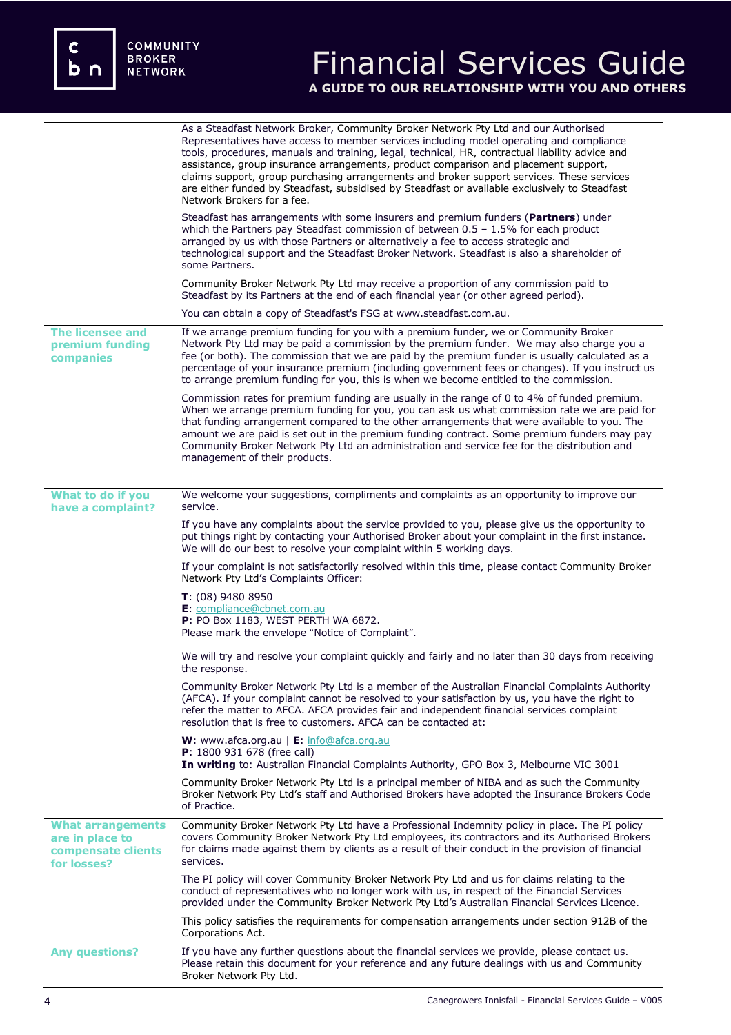c<br>b n

# Financial Services Guide **A GUIDE TO OUR RELATIONSHIP WITH YOU AND OTHERS**

|                                                                                  | As a Steadfast Network Broker, Community Broker Network Pty Ltd and our Authorised<br>Representatives have access to member services including model operating and compliance<br>tools, procedures, manuals and training, legal, technical, HR, contractual liability advice and<br>assistance, group insurance arrangements, product comparison and placement support,<br>claims support, group purchasing arrangements and broker support services. These services<br>are either funded by Steadfast, subsidised by Steadfast or available exclusively to Steadfast<br>Network Brokers for a fee. |
|----------------------------------------------------------------------------------|-----------------------------------------------------------------------------------------------------------------------------------------------------------------------------------------------------------------------------------------------------------------------------------------------------------------------------------------------------------------------------------------------------------------------------------------------------------------------------------------------------------------------------------------------------------------------------------------------------|
|                                                                                  | Steadfast has arrangements with some insurers and premium funders (Partners) under<br>which the Partners pay Steadfast commission of between $0.5 - 1.5\%$ for each product<br>arranged by us with those Partners or alternatively a fee to access strategic and<br>technological support and the Steadfast Broker Network. Steadfast is also a shareholder of<br>some Partners.                                                                                                                                                                                                                    |
|                                                                                  | Community Broker Network Pty Ltd may receive a proportion of any commission paid to<br>Steadfast by its Partners at the end of each financial year (or other agreed period).                                                                                                                                                                                                                                                                                                                                                                                                                        |
|                                                                                  | You can obtain a copy of Steadfast's FSG at www.steadfast.com.au.                                                                                                                                                                                                                                                                                                                                                                                                                                                                                                                                   |
| <b>The licensee and</b><br>premium funding<br>companies                          | If we arrange premium funding for you with a premium funder, we or Community Broker<br>Network Pty Ltd may be paid a commission by the premium funder. We may also charge you a<br>fee (or both). The commission that we are paid by the premium funder is usually calculated as a<br>percentage of your insurance premium (including government fees or changes). If you instruct us<br>to arrange premium funding for you, this is when we become entitled to the commission.                                                                                                                     |
|                                                                                  | Commission rates for premium funding are usually in the range of 0 to 4% of funded premium.<br>When we arrange premium funding for you, you can ask us what commission rate we are paid for<br>that funding arrangement compared to the other arrangements that were available to you. The<br>amount we are paid is set out in the premium funding contract. Some premium funders may pay<br>Community Broker Network Pty Ltd an administration and service fee for the distribution and<br>management of their products.                                                                           |
| What to do if you                                                                | We welcome your suggestions, compliments and complaints as an opportunity to improve our                                                                                                                                                                                                                                                                                                                                                                                                                                                                                                            |
| have a complaint?                                                                | service.                                                                                                                                                                                                                                                                                                                                                                                                                                                                                                                                                                                            |
|                                                                                  | If you have any complaints about the service provided to you, please give us the opportunity to<br>put things right by contacting your Authorised Broker about your complaint in the first instance.<br>We will do our best to resolve your complaint within 5 working days.                                                                                                                                                                                                                                                                                                                        |
|                                                                                  | If your complaint is not satisfactorily resolved within this time, please contact Community Broker<br>Network Pty Ltd's Complaints Officer:                                                                                                                                                                                                                                                                                                                                                                                                                                                         |
|                                                                                  | $T: (08)$ 9480 8950<br>E: compliance@cbnet.com.au<br>P: PO Box 1183, WEST PERTH WA 6872.<br>Please mark the envelope "Notice of Complaint".                                                                                                                                                                                                                                                                                                                                                                                                                                                         |
|                                                                                  | We will try and resolve your complaint quickly and fairly and no later than 30 days from receiving<br>the response.                                                                                                                                                                                                                                                                                                                                                                                                                                                                                 |
|                                                                                  | Community Broker Network Pty Ltd is a member of the Australian Financial Complaints Authority<br>(AFCA). If your complaint cannot be resolved to your satisfaction by us, you have the right to<br>refer the matter to AFCA. AFCA provides fair and independent financial services complaint<br>resolution that is free to customers. AFCA can be contacted at:                                                                                                                                                                                                                                     |
|                                                                                  | <b>W</b> : www.afca.org.au   $E$ : info@afca.org.au<br>P: 1800 931 678 (free call)<br>In writing to: Australian Financial Complaints Authority, GPO Box 3, Melbourne VIC 3001                                                                                                                                                                                                                                                                                                                                                                                                                       |
|                                                                                  | Community Broker Network Pty Ltd is a principal member of NIBA and as such the Community<br>Broker Network Pty Ltd's staff and Authorised Brokers have adopted the Insurance Brokers Code<br>of Practice.                                                                                                                                                                                                                                                                                                                                                                                           |
| <b>What arrangements</b><br>are in place to<br>compensate clients<br>for losses? | Community Broker Network Pty Ltd have a Professional Indemnity policy in place. The PI policy<br>covers Community Broker Network Pty Ltd employees, its contractors and its Authorised Brokers<br>for claims made against them by clients as a result of their conduct in the provision of financial<br>services.                                                                                                                                                                                                                                                                                   |
|                                                                                  | The PI policy will cover Community Broker Network Pty Ltd and us for claims relating to the<br>conduct of representatives who no longer work with us, in respect of the Financial Services<br>provided under the Community Broker Network Pty Ltd's Australian Financial Services Licence.                                                                                                                                                                                                                                                                                                          |
|                                                                                  | This policy satisfies the requirements for compensation arrangements under section 912B of the<br>Corporations Act.                                                                                                                                                                                                                                                                                                                                                                                                                                                                                 |
| <b>Any questions?</b>                                                            | If you have any further questions about the financial services we provide, please contact us.<br>Please retain this document for your reference and any future dealings with us and Community<br>Broker Network Pty Ltd.                                                                                                                                                                                                                                                                                                                                                                            |